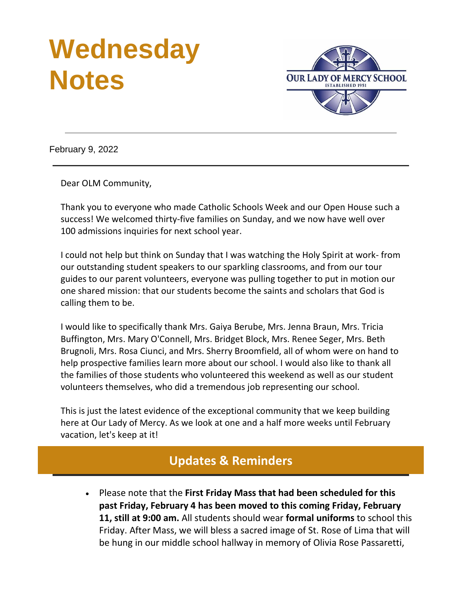# **Wednesday Notes**



February 9, 2022

Dear OLM Community,

Thank you to everyone who made Catholic Schools Week and our Open House such a success! We welcomed thirty-five families on Sunday, and we now have well over 100 admissions inquiries for next school year.

I could not help but think on Sunday that I was watching the Holy Spirit at work- from our outstanding student speakers to our sparkling classrooms, and from our tour guides to our parent volunteers, everyone was pulling together to put in motion our one shared mission: that our students become the saints and scholars that God is calling them to be.

I would like to specifically thank Mrs. Gaiya Berube, Mrs. Jenna Braun, Mrs. Tricia Buffington, Mrs. Mary O'Connell, Mrs. Bridget Block, Mrs. Renee Seger, Mrs. Beth Brugnoli, Mrs. Rosa Ciunci, and Mrs. Sherry Broomfield, all of whom were on hand to help prospective families learn more about our school. I would also like to thank all the families of those students who volunteered this weekend as well as our student volunteers themselves, who did a tremendous job representing our school.

This is just the latest evidence of the exceptional community that we keep building here at Our Lady of Mercy. As we look at one and a half more weeks until February vacation, let's keep at it!

## **Updates & Reminders**

• Please note that the **First Friday Mass that had been scheduled for this past Friday, February 4 has been moved to this coming Friday, February 11, still at 9:00 am.** All students should wear **formal uniforms** to school this Friday. After Mass, we will bless a sacred image of St. Rose of Lima that will be hung in our middle school hallway in memory of Olivia Rose Passaretti,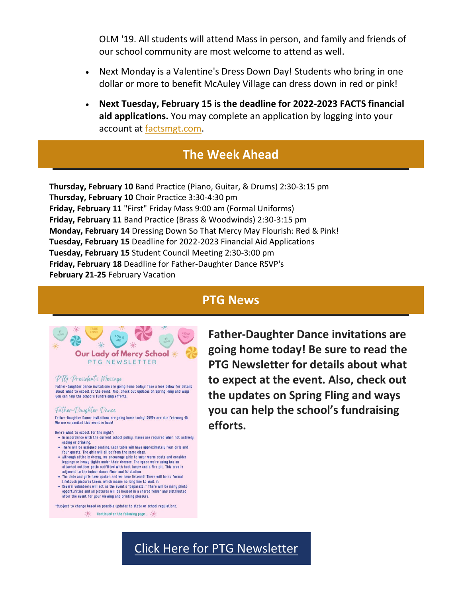OLM '19. All students will attend Mass in person, and family and friends of our school community are most welcome to attend as well.

- Next Monday is a Valentine's Dress Down Day! Students who bring in one dollar or more to benefit McAuley Village can dress down in red or pink!
- **Next Tuesday, February 15 is the deadline for 2022-2023 FACTS financial aid applications.** You may complete an application by logging into your account at [factsmgt.com.](https://r20.rs6.net/tn.jsp?f=001gvdcpvUi4kqmng0ij4w0HDXEqeZ07Y2vnNGMJNYbf4rriPlmPEAo4j2S9gZ9_GGeo3Lj7n1cHxtRAftxnbUt3JOsKrKOQHFZLYcQ32kGto90834-w9mTZLm8rhDDcqiK3pX3GRGuyMs=&c=&ch=)

## **The Week Ahead**

**Thursday, February 10** Band Practice (Piano, Guitar, & Drums) 2:30-3:15 pm **Thursday, February 10** Choir Practice 3:30-4:30 pm **Friday, February 11** "First" Friday Mass 9:00 am (Formal Uniforms) **Friday, February 11** Band Practice (Brass & Woodwinds) 2:30-3:15 pm **Monday, February 14** Dressing Down So That Mercy May Flourish: Red & Pink! **Tuesday, February 15** Deadline for 2022-2023 Financial Aid Applications **Tuesday, February 15** Student Council Meeting 2:30-3:00 pm **Friday, February 18** Deadline for Father-Daughter Dance RSVP's **February 21-25** February Vacation

## **PTG News**



Father-Daughter Dance invitations are going home today! Take a look below for details about what to expect at the event. Also, check out updates on Spring Fling and ways you can help the school's fundraising efforts.

#### Father-Daughter Dance

Father-Daughter Dance invitations are going home today! RSVPs are due February 18. We are so excited this event is back

Here's what to expect for the night\*

- . In accordance with the current school policy, masks are required when not actively eating or drinking. . There will be assigned seating. Each table will have approximately four girls and
- four guests. The girls will all be from the same class.
- Although attire is dressy, we encourage girls to wear warm coats and consider leggings or heavy tights under their dresses. The space we're using has an attached outdoor patio outfitted with heat lamps and a fire pit. This area is adjacent to the indoor dance floor and DJ station.<br>The dads and girls have spoken and we have listened! There will be no formal
- Lifetouch pictures taken, which means no long line to wait in.<br>• Several volunteers will act as the event's "paparazzi." There will be many photo
- opportunities and all pictures will be housed in a shared folder and distributed after the event for your viewing and printing pleasure.

\*Subject to change based on possible updates to state or school regulations.

 $*$  Continued on the following page...  $*$ 

**Father-Daughter Dance invitations are going home today! Be sure to read the PTG Newsletter for details about what to expect at the event. Also, check out the updates on Spring Fling and ways you can help the school's fundraising efforts.**

## [Click Here for PTG Newsletter](https://r20.rs6.net/tn.jsp?f=001gvdcpvUi4kqmng0ij4w0HDXEqeZ07Y2vnNGMJNYbf4rriPlmPEAo4ohzZgoKAxX7GPg2vBqHyJOeG2FnqSB_3FfjwwLzUj-NMvkPB2gFzpfuWg5Frj_WyijYnpHMXqjhp6Qc1zLvDieSIj2qXUVcEOnrWSLnuYUUv32vGAf0aItuOoUSsUFPxB-Ckg0crIKA8cU2iac8LkPzFfDux9IfaG_TA2Hnn3YgbOyomsEZ-HY=&c=&ch=)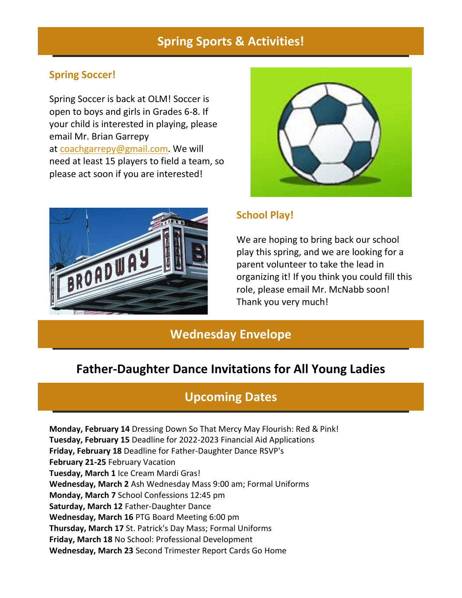## **Spring Sports & Activities!**

#### **Spring Soccer!**

Spring Soccer is back at OLM! Soccer is open to boys and girls in Grades 6-8. If your child is interested in playing, please email Mr. Brian Garrepy at [coachgarrepy@gmail.com.](mailto:coachgarrepy@gmail.com) We will need at least 15 players to field a team, so please act soon if you are interested!





#### **School Play!**

We are hoping to bring back our school play this spring, and we are looking for a parent volunteer to take the lead in organizing it! If you think you could fill this role, please email Mr. McNabb soon! Thank you very much!

## **Wednesday Envelope**

## **Father-Daughter Dance Invitations for All Young Ladies**

### **Upcoming Dates**

**Monday, February 14** Dressing Down So That Mercy May Flourish: Red & Pink! **Tuesday, February 15** Deadline for 2022-2023 Financial Aid Applications **Friday, February 18** Deadline for Father-Daughter Dance RSVP's **February 21-25** February Vacation **Tuesday, March 1** Ice Cream Mardi Gras! **Wednesday, March 2** Ash Wednesday Mass 9:00 am; Formal Uniforms **Monday, March 7** School Confessions 12:45 pm **Saturday, March 12** Father-Daughter Dance **Wednesday, March 16** PTG Board Meeting 6:00 pm **Thursday, March 17** St. Patrick's Day Mass; Formal Uniforms **Friday, March 18** No School: Professional Development **Wednesday, March 23** Second Trimester Report Cards Go Home